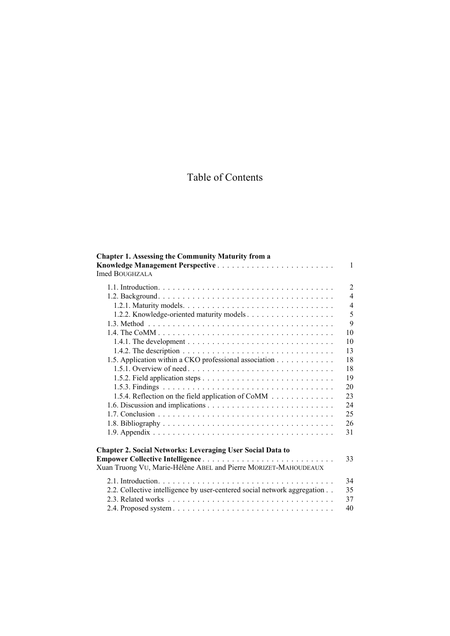## Table of Contents

| <b>Chapter 1. Assessing the Community Maturity from a</b><br>Knowledge Management Perspective<br><b>Imed BOUGHZALA</b>                                                  | $\mathbf{1}$   |
|-------------------------------------------------------------------------------------------------------------------------------------------------------------------------|----------------|
|                                                                                                                                                                         | $\overline{2}$ |
|                                                                                                                                                                         | $\overline{4}$ |
|                                                                                                                                                                         | $\overline{4}$ |
|                                                                                                                                                                         | 5              |
|                                                                                                                                                                         | 9              |
|                                                                                                                                                                         | 10             |
|                                                                                                                                                                         | 10             |
|                                                                                                                                                                         | 13             |
| 1.5. Application within a CKO professional association                                                                                                                  | 18             |
| 1.5.1. Overview of need                                                                                                                                                 | 18             |
|                                                                                                                                                                         | 19             |
|                                                                                                                                                                         | 20             |
| 1.5.4. Reflection on the field application of CoMM                                                                                                                      | 23             |
|                                                                                                                                                                         | 24             |
|                                                                                                                                                                         | 25             |
|                                                                                                                                                                         | 26             |
|                                                                                                                                                                         | 31             |
| Chapter 2. Social Networks: Leveraging User Social Data to<br><b>Empower Collective Intelligence</b><br>Xuan Truong VU, Marie-Hélène ABEL and Pierre MORIZET-MAHOUDEAUX | 33             |
|                                                                                                                                                                         | 34             |
| 2.2. Collective intelligence by user-centered social network aggregation                                                                                                | 35             |
|                                                                                                                                                                         | 37             |
|                                                                                                                                                                         | 40             |
|                                                                                                                                                                         |                |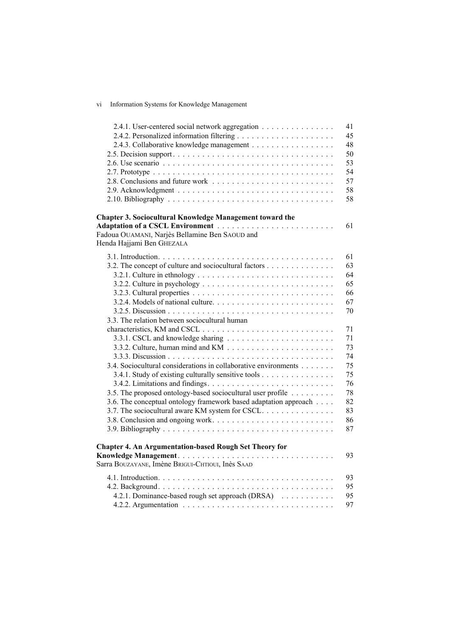## vi Information Systems for Knowledge Management

| 2.4.1. User-centered social network aggregation                                                  | 41<br>45<br>48 |
|--------------------------------------------------------------------------------------------------|----------------|
|                                                                                                  | 50             |
| 2.6. Use scenario $\ldots \ldots \ldots \ldots \ldots \ldots \ldots \ldots \ldots \ldots \ldots$ | 53             |
|                                                                                                  | 54             |
|                                                                                                  | 57             |
|                                                                                                  | 58             |
|                                                                                                  | 58             |
| Chapter 3. Sociocultural Knowledge Management toward the                                         |                |
| Adaptation of a CSCL Environment                                                                 | 61             |
| Fadoua OUAMANI, Narjès Bellamine Ben SAOUD and                                                   |                |
| Henda Hajjami Ben GHEZALA                                                                        |                |
|                                                                                                  | 61             |
| 3.2. The concept of culture and sociocultural factors                                            | 63             |
|                                                                                                  | 64             |
|                                                                                                  | 65             |
|                                                                                                  | 66             |
|                                                                                                  | 67             |
|                                                                                                  | 70             |
|                                                                                                  |                |
| 3.3. The relation between sociocultural human                                                    |                |
|                                                                                                  | 71             |
|                                                                                                  | 71             |
|                                                                                                  | 73             |
|                                                                                                  | 74             |
| 3.4. Sociocultural considerations in collaborative environments                                  | 75             |
| 3.4.1. Study of existing culturally sensitive tools                                              | 75             |
|                                                                                                  | 76             |
| 3.5. The proposed ontology-based sociocultural user profile                                      | 78             |
| 3.6. The conceptual ontology framework based adaptation approach                                 | 82             |
| 3.7. The sociocultural aware KM system for CSCL.                                                 | 83             |
|                                                                                                  | 86             |
|                                                                                                  | 87             |
| <b>Chapter 4. An Argumentation-based Rough Set Theory for</b>                                    |                |
|                                                                                                  | 93             |
| Sarra BOUZAYANE, Imène BRIGUI-CHTIOUI, Inès SAAD                                                 |                |
|                                                                                                  | 93             |
|                                                                                                  | 95             |
| 4.2.1. Dominance-based rough set approach (DRSA)                                                 | 95             |
|                                                                                                  | 97             |
|                                                                                                  |                |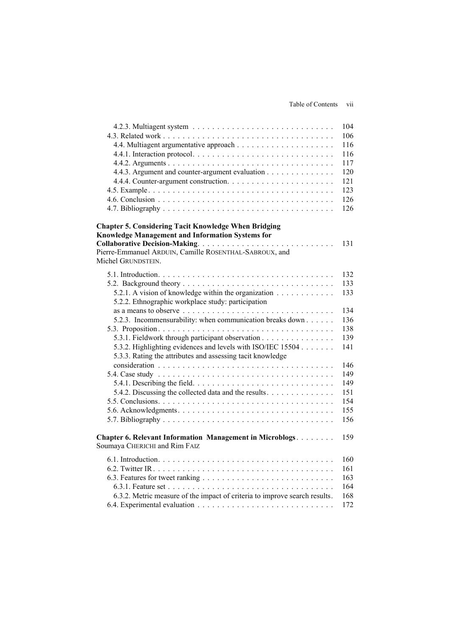|                                                                                                                           | 104 |
|---------------------------------------------------------------------------------------------------------------------------|-----|
|                                                                                                                           | 106 |
|                                                                                                                           | 116 |
|                                                                                                                           | 116 |
|                                                                                                                           | 117 |
| 4.4.3. Argument and counter-argument evaluation                                                                           | 120 |
|                                                                                                                           | 121 |
|                                                                                                                           | 123 |
|                                                                                                                           | 126 |
|                                                                                                                           | 126 |
| <b>Chapter 5. Considering Tacit Knowledge When Bridging</b><br>Knowledge Management and Information Systems for           |     |
|                                                                                                                           | 131 |
| Pierre-Emmanuel ARDUIN, Camille ROSENTHAL-SABROUX, and<br>Michel GRUNDSTEIN.                                              |     |
|                                                                                                                           | 132 |
|                                                                                                                           | 133 |
| 5.2.1. A vision of knowledge within the organization<br>5.2.2. Ethnographic workplace study: participation                | 133 |
| as a means to observe $\ldots \ldots \ldots \ldots \ldots \ldots \ldots \ldots \ldots \ldots \ldots$                      | 134 |
| 5.2.3. Incommensurability: when communication breaks down                                                                 | 136 |
|                                                                                                                           | 138 |
| 5.3.1. Fieldwork through participant observation                                                                          | 139 |
| 5.3.2. Highlighting evidences and levels with ISO/IEC 15504<br>5.3.3. Rating the attributes and assessing tacit knowledge | 141 |
|                                                                                                                           | 146 |
|                                                                                                                           | 149 |
| 5.4.1. Describing the field. $\ldots \ldots \ldots \ldots \ldots \ldots \ldots \ldots \ldots \ldots$                      | 149 |
| 5.4.2. Discussing the collected data and the results                                                                      | 151 |
|                                                                                                                           | 154 |
|                                                                                                                           | 155 |
|                                                                                                                           | 156 |
| <b>Chapter 6. Relevant Information Management in Microblogs</b><br>Soumaya CHERICHI and Rim FAIZ                          | 159 |
|                                                                                                                           |     |
|                                                                                                                           | 160 |
|                                                                                                                           | 161 |
|                                                                                                                           | 163 |
|                                                                                                                           | 164 |
| 6.3.2. Metric measure of the impact of criteria to improve search results.                                                | 168 |
|                                                                                                                           | 172 |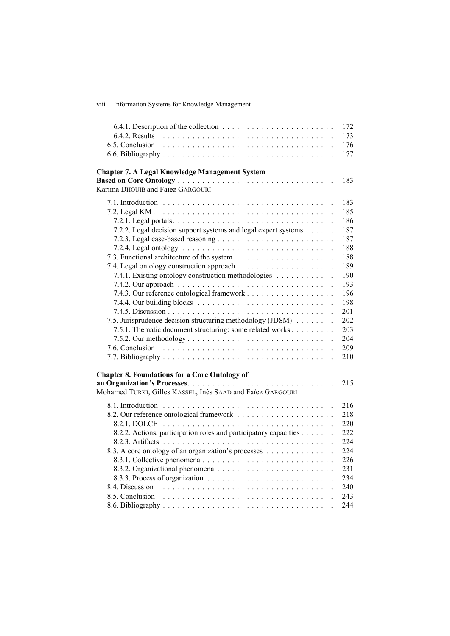viii Information Systems for Knowledge Management

|                                                                  | 172 |
|------------------------------------------------------------------|-----|
|                                                                  | 173 |
|                                                                  | 176 |
|                                                                  | 177 |
| <b>Chapter 7. A Legal Knowledge Management System</b>            |     |
|                                                                  | 183 |
| Karima DHOUIB and Faïez GARGOURI                                 |     |
|                                                                  | 183 |
|                                                                  | 185 |
|                                                                  | 186 |
| 7.2.2. Legal decision support systems and legal expert systems   | 187 |
|                                                                  | 187 |
|                                                                  | 188 |
|                                                                  | 188 |
|                                                                  | 189 |
| 7.4.1. Existing ontology construction methodologies              | 190 |
|                                                                  | 193 |
|                                                                  | 196 |
|                                                                  | 198 |
|                                                                  | 201 |
| 7.5. Jurisprudence decision structuring methodology (JDSM)       | 202 |
| 7.5.1. Thematic document structuring: some related works         | 203 |
|                                                                  | 204 |
|                                                                  | 209 |
|                                                                  | 210 |
|                                                                  |     |
| <b>Chapter 8. Foundations for a Core Ontology of</b>             |     |
| Mohamed TURKI, Gilles KASSEL, Inès SAAD and Faïez GARGOURI       | 215 |
|                                                                  |     |
|                                                                  | 216 |
|                                                                  | 218 |
|                                                                  | 220 |
| 8.2.2. Actions, participation roles and participatory capacities | 222 |
|                                                                  | 224 |
| 8.3. A core ontology of an organization's processes              | 224 |
|                                                                  | 226 |
|                                                                  | 231 |
|                                                                  | 234 |
|                                                                  | 240 |
|                                                                  | 243 |
|                                                                  | 244 |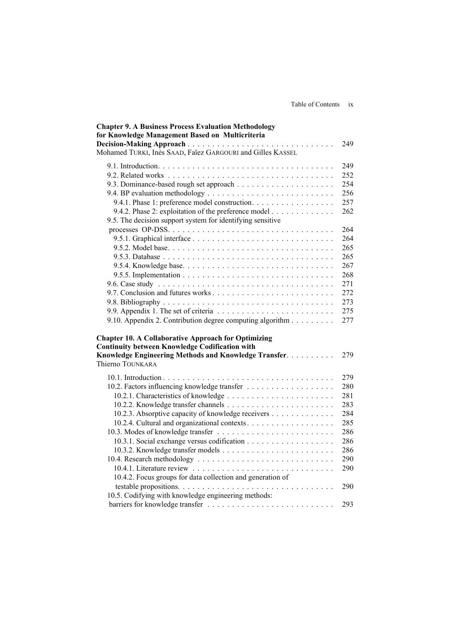| <b>Chapter 9. A Business Process Evaluation Methodology</b><br>for Knowledge Management Based on Multicriteria                                                                                   |                                                                                  |
|--------------------------------------------------------------------------------------------------------------------------------------------------------------------------------------------------|----------------------------------------------------------------------------------|
| $\mathbb{R}^2$<br>Mohamed TURKI, Inès SAAD, Faïez GARGOURI and Gilles KASSEL                                                                                                                     | 249                                                                              |
| 9.4.1. Phase 1: preference model construction.<br>9.4.2. Phase 2: exploitation of the preference model<br>9.5. The decision support system for identifying sensitive                             | 249<br>252<br>254<br>256<br>257<br>262<br>264<br>264<br>265<br>265               |
| 9.10. Appendix 2. Contribution degree computing algorithm                                                                                                                                        | 267<br>268<br>271<br>272<br>273<br>275<br>277                                    |
| <b>Chapter 10. A Collaborative Approach for Optimizing</b><br><b>Continuity between Knowledge Codification with</b><br>Knowledge Engineering Methods and Knowledge Transfer.<br>Thierno TOUNKARA | 279                                                                              |
| 10.2.3. Absorptive capacity of knowledge receivers<br>10.2.4. Cultural and organizational contexts<br>10.4.2. Focus groups for data collection and generation of                                 | 279<br>280<br>281<br>283<br>284<br>285<br>286<br>286<br>286<br>290<br>290<br>290 |
| 10.5. Codifying with knowledge engineering methods:                                                                                                                                              | 293                                                                              |